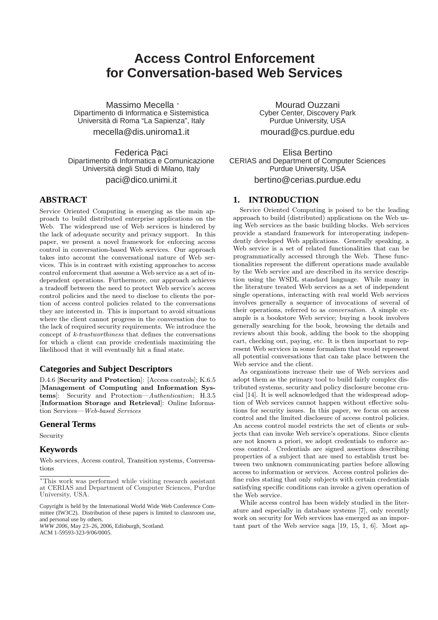# **Access Control Enforcement for Conversation-based Web Services**

Massimo Mecella <sup>∗</sup> Dipartimento di Informatica e Sistemistica Universita di Roma "La Sapienza", Italy ` mecella@dis.uniroma1.it

Federica Paci Dipartimento di Informatica e Comunicazione Universita degli Studi di Milano, Italy `

paci@dico.unimi.it

## **ABSTRACT**

Service Oriented Computing is emerging as the main approach to build distributed enterprise applications on the Web. The widespread use of Web services is hindered by the lack of adequate security and privacy support. In this paper, we present a novel framework for enforcing access control in conversation-based Web services. Our approach takes into account the conversational nature of Web services. This is in contrast with existing approaches to access control enforcement that assume a Web service as a set of independent operations. Furthermore, our approach achieves a tradeoff between the need to protect Web service's access control policies and the need to disclose to clients the portion of access control policies related to the conversations they are interested in. This is important to avoid situations where the client cannot progress in the conversation due to the lack of required security requirements. We introduce the concept of k-trustworthiness that defines the conversations for which a client can provide credentials maximizing the likelihood that it will eventually hit a final state.

## **Categories and Subject Descriptors**

D.4.6 [Security and Protection]: [Access controls]; K.6.5 [Management of Computing and Information Systems]: Security and Protection—Authentication; H.3.5 [Information Storage and Retrieval]: Online Information Services—Web-based Services

## **General Terms**

Security

#### **Keywords**

Web services, Access control, Transition systems, Conversations

*WWW 2006*, May 23–26, 2006, Edinburgh, Scotland. ACM 1-59593-323-9/06/0005.

Mourad Ouzzani Cyber Center, Discovery Park Purdue University, USA mourad@cs.purdue.edu

Elisa Bertino CERIAS and Department of Computer Sciences Purdue University, USA

bertino@cerias.purdue.edu

## **1. INTRODUCTION**

Service Oriented Computing is poised to be the leading approach to build (distributed) applications on the Web using Web services as the basic building blocks. Web services provide a standard framework for interoperating independently developed Web applications. Generally speaking, a Web service is a set of related functionalities that can be programmatically accessed through the Web. These functionalities represent the different operations made available by the Web service and are described in its service description using the WSDL standard language. While many in the literature treated Web services as a set of independent single operations, interacting with real world Web services involves generally a sequence of invocations of several of their operations, referred to as conversation. A simple example is a bookstore Web service; buying a book involves generally searching for the book, browsing the details and reviews about this book, adding the book to the shopping cart, checking out, paying, etc. It is then important to represent Web services in some formalism that would represent all potential conversations that can take place between the Web service and the client.

As organizations increase their use of Web services and adopt them as the primary tool to build fairly complex distributed systems, security and policy disclosure become crucial [14]. It is well acknowledged that the widespread adoption of Web services cannot happen without effective solutions for security issues. In this paper, we focus on access control and the limited disclosure of access control policies. An access control model restricts the set of clients or subjects that can invoke Web service's operations. Since clients are not known a priori, we adopt credentials to enforce access control. Credentials are signed assertions describing properties of a subject that are used to establish trust between two unknown communicating parties before allowing access to information or services. Access control policies define rules stating that only subjects with certain credentials satisfying specific conditions can invoke a given operation of the Web service.

While access control has been widely studied in the literature and especially in database systems [7], only recently work on security for Web services has emerged as an important part of the Web service saga [19, 15, 1, 6]. Most ap-

<sup>∗</sup>This work was performed while visiting research assistant at CERIAS and Department of Computer Sciences, Purdue University, USA.

Copyright is held by the International World Wide Web Conference Committee (IW3C2). Distribution of these papers is limited to classroom use, and personal use by others.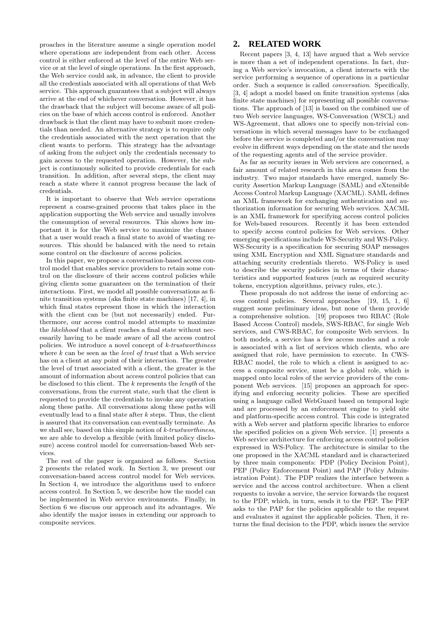proaches in the literature assume a single operation model where operations are independent from each other. Access control is either enforced at the level of the entire Web service or at the level of single operations. In the first approach, the Web service could ask, in advance, the client to provide all the credentials associated with all operations of that Web service. This approach guarantees that a subject will always arrive at the end of whichever conversation. However, it has the drawback that the subject will become aware of all policies on the base of which access control is enforced. Another drawback is that the client may have to submit more credentials than needed. An alternative strategy is to require only the credentials associated with the next operation that the client wants to perform. This strategy has the advantage of asking from the subject only the credentials necessary to gain access to the requested operation. However, the subject is continuously solicited to provide credentials for each transition. In addition, after several steps, the client may reach a state where it cannot progress because the lack of credentials.

It is important to observe that Web service operations represent a coarse-grained process that takes place in the application supporting the Web service and usually involves the consumption of several resources. This shows how important it is for the Web service to maximize the chance that a user would reach a final state to avoid of wasting resources. This should be balanced with the need to retain some control on the disclosure of access policies.

In this paper, we propose a conversation-based access control model that enables service providers to retain some control on the disclosure of their access control policies while giving clients some guarantees on the termination of their interactions. First, we model all possible conversations as finite transition systems (aka finite state machines) [17, 4], in which final states represent those in which the interaction with the client can be (but not necessarily) ended. Furthermore, our access control model attempts to maximize the likelihood that a client reaches a final state without necessarily having to be made aware of all the access control policies. We introduce a novel concept of k-trustworthiness where  $k$  can be seen as the *level of trust* that a Web service has on a client at any point of their interaction. The greater the level of trust associated with a client, the greater is the amount of information about access control policies that can be disclosed to this client. The k represents the length of the conversations, from the current state, such that the client is requested to provide the credentials to invoke any operation along these paths. All conversations along these paths will eventually lead to a final state after  $k$  steps. Thus, the client is assured that its conversation can eventually terminate. As we shall see, based on this simple notion of k-trustworthiness, we are able to develop a flexible (with limited policy disclosure) access control model for conversation-based Web services.

The rest of the paper is organized as follows. Section 2 presents the related work. In Section 3, we present our conversation-based access control model for Web services. In Section 4, we introduce the algorithms used to enforce access control. In Section 5, we describe how the model can be implemented in Web service environments. Finally, in Section 6 we discuss our approach and its advantages. We also identify the major issues in extending our approach to composite services.

## **2. RELATED WORK**

Recent papers [3, 4, 13] have argued that a Web service is more than a set of independent operations. In fact, during a Web service's invocation, a client interacts with the service performing a sequence of operations in a particular order. Such a sequence is called conversation. Specifically, [3, 4] adopt a model based on finite transition systems (aka finite state machines) for representing all possible conversations. The approach of [13] is based on the combined use of two Web service languages, WS-Conversation (WSCL) and WS-Agreement, that allows one to specify non-trivial conversations in which several messages have to be exchanged before the service is completed and/or the conversation may evolve in different ways depending on the state and the needs of the requesting agents and of the service provider.

As far as security issues in Web services are concerned, a fair amount of related research in this area comes from the industry. Two major standards have emerged, namely Security Assertion Markup Language (SAML) and eXtensible Access Control Markup Language (XACML). SAML defines an XML framework for exchanging authentication and authorization information for securing Web services. XACML is an XML framework for specifying access control policies for Web-based resources. Recently it has been extended to specify access control policies for Web services. Other emerging specifications include WS-Security and WS-Policy. WS-Security is a specification for securing SOAP messages using XML Encryption and XML Signature standards and attaching security credentials thereto. WS-Policy is used to describe the security policies in terms of their characteristics and supported features (such as required security tokens, encryption algorithms, privacy rules, etc.).

These proposals do not address the issue of enforcing access control policies. Several approaches [19, 15, 1, 6] suggest some preliminary ideas, but none of them provide a comprehensive solution. [19] proposes two RBAC (Role Based Access Control) models, SWS-RBAC, for single Web services, and CWS-RBAC, for composite Web services. In both models, a service has a few access modes and a role is associated with a list of services which clients, who are assigned that role, have permission to execute. In CWS-RBAC model, the role to which a client is assigned to access a composite service, must be a global role, which is mapped onto local roles of the service providers of the component Web services. [15] proposes an approach for specifying and enforcing security policies. These are specified using a language called WebGuard based on temporal logic and are processed by an enforcement engine to yield site and platform-specific access control. This code is integrated with a Web server and platform specific libraries to enforce the specified policies on a given Web service. [1] presents a Web service architecture for enforcing access control policies expressed in WS-Policy. The architecture is similar to the one proposed in the XACML standard and is characterized by three main components: PDP (Policy Decision Point), PEP (Policy Enforcement Point) and PAP (Policy Administration Point). The PDP realizes the interface between a service and the access control architecture. When a client requests to invoke a service, the service forwards the request to the PDP, which, in turn, sends it to the PEP. The PEP asks to the PAP for the policies applicable to the request and evaluates it against the applicable policies. Then, it returns the final decision to the PDP, which issues the service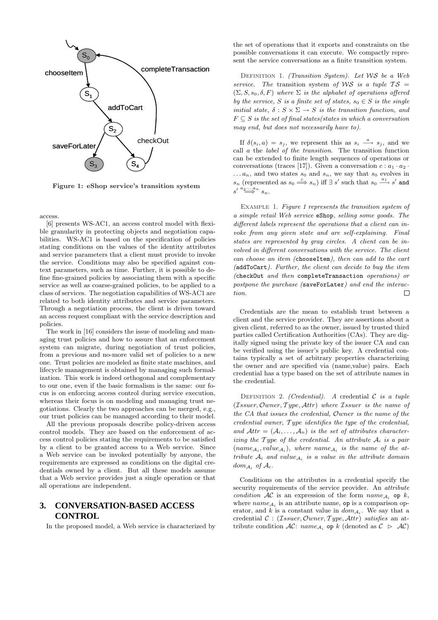

Figure 1: eShop service's transition system

access.

[6] presents WS-AC1, an access control model with flexible granularity in protecting objects and negotiation capabilities. WS-AC1 is based on the specification of policies stating conditions on the values of the identity attributes and service parameters that a client must provide to invoke the service. Conditions may also be specified against context parameters, such as time. Further, it is possible to define fine-grained policies by associating them with a specific service as well as coarse-grained policies, to be applied to a class of services. The negotiation capabilities of WS-AC1 are related to both identity attributes and service parameters. Through a negotiation process, the client is driven toward an access request compliant with the service description and policies.

The work in [16] considers the issue of modeling and managing trust policies and how to assure that an enforcement system can migrate, during negotiation of trust policies, from a previous and no-more valid set of policies to a new one. Trust policies are modeled as finite state machines, and lifecycle management is obtained by managing such formalization. This work is indeed orthogonal and complementary to our one, even if the basic formalism is the same: our focus is on enforcing access control during service execution, whereas their focus is on modeling and managing trust negotiations. Clearly the two approaches can be merged, e.g., our trust policies can be managed according to their model.

All the previous proposals describe policy-driven access control models. They are based on the enforcement of access control policies stating the requirements to be satisfied by a client to be granted access to a Web service. Since a Web service can be invoked potentially by anyone, the requirements are expressed as conditions on the digital credentials owned by a client. But all these models assume that a Web service provides just a single operation or that all operations are independent.

# **3. CONVERSATION-BASED ACCESS CONTROL**

In the proposed model, a Web service is characterized by

the set of operations that it exports and constraints on the possible conversations it can execute. We compactly represent the service conversations as a finite transition system.

DEFINITION 1. (Transition System). Let  $WS$  be a Web service. The transition system of WS is a tuple  $TS =$  $(\Sigma, S, s_0, \delta, F)$  where  $\Sigma$  is the alphabet of operations offered by the service, S is a finite set of states,  $s_0 \in S$  is the single initial state,  $\delta : S \times \Sigma \rightarrow S$  is the transition function, and  $F \subseteq S$  is the set of final states(states in which a conversation may end, but does not necessarily have to).

If  $\delta(s_i, a) = s_j$ , we represent this as  $s_i \stackrel{a}{\longrightarrow} s_j$ , and we call a the label of the transition. The transition function can be extended to finite length sequences of operations or conversations (traces [17]). Given a conversation  $c : a_1 \cdot a_2$ .  $\dots a_n$ , and two states  $s_0$  and  $s_n$ , we say that  $s_0$  evolves in  $s_n$  (represented as  $s_0 \stackrel{c}{\Longrightarrow} s_n$ ) iff  $\exists s'$  such that  $s_0 \stackrel{a_1}{\longrightarrow} s'$  and  $s' \overset{a_2 \cdot \ldots a_n}{\Longrightarrow} s_n.$ 

EXAMPLE 1. Figure 1 represents the transition system of a simple retail Web service eShop, selling some goods. The different labels represent the operations that a client can invoke from any given state and are self-explaining. Final states are represented by gray circles. A client can be involved in different conversations with the service. The client can choose an item (chooseItem), then can add to the cart (addToCart). Further, the client can decide to buy the item (checkOut and then completeTransaction operations) or postpone the purchase (saveForLater) and end the interac- $\Box$ tion.

Credentials are the mean to establish trust between a client and the service provider. They are assertions about a given client, referred to as the owner, issued by trusted third parties called Certification Authorities (CAs). They are digitally signed using the private key of the issuer CA and can be verified using the issuer's public key. A credential contains typically a set of arbitrary properties characterizing the owner and are specified via (name,value) pairs. Each credential has a type based on the set of attribute names in the credential.

DEFINITION 2. (Credential). A credential  $C$  is a tuple  $(\mathcal{I}ssuer,Owner, Type,Attr)$  where  $\mathcal{I}ssuer$  is the name of the CA that issues the credential, Owner is the name of the credential owner, T ype identifies the type of the credential, and  $\mathcal{A}tr = (\mathcal{A}_i, \ldots, \mathcal{A}_n)$  is the set of attributes characterizing the Type of the credential. An attribute  $A_i$  is a pair  $(name_{\mathcal{A}_i}, value_{\mathcal{A}_i})$ , where name is the name of the attribute  $A_i$  and value is a value in the attribute domain  $dom_{\mathcal{A}_i}$  of  $\mathcal{A}_i$ .

Conditions on the attributes in a credential specify the security requirements of the service provider. An *attribute* condition  $AC$  is an expression of the form  $name_{A_i}$  op k, where  $name_{A_i}$  is an attribute name, op is a comparison operator, and k is a constant value in  $dom_{\mathcal{A}_i}$ . We say that a credential  $C: (Tssuer,Owner, Type, Attr)$  satisfies an attribute condition  $AC: name_{A_i}$  op k (denoted as  $C \supset AC$ )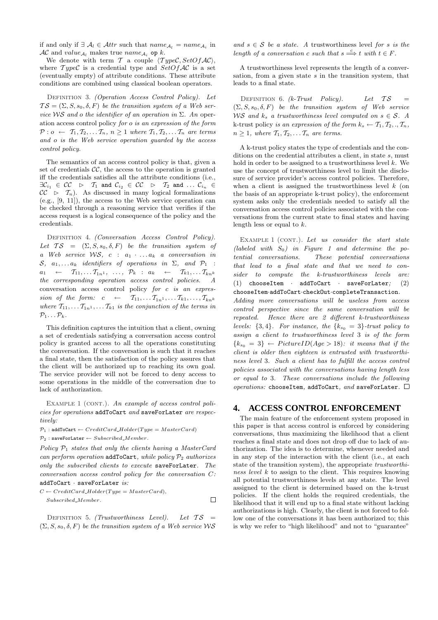if and only if  $\exists \mathcal{A}_l \in \mathcal{A}$ ttr such that  $name_{\mathcal{A}_l} = name_{\mathcal{A}_i}$  in  $AC$  and  $value_{A_i}$  makes true  $name_{A_i}$  op k.

We denote with term  $\mathcal T$  a couple  $\langle Type\mathcal C, SetOfAC\rangle$ , where  $TypeC$  is a credential type and  $SetOfAC$  is a set (eventually empty) of attribute conditions. These attribute conditions are combined using classical boolean operators.

DEFINITION 3. (Operation Access Control Policy). Let  $TS = (\Sigma, S, s_0, \delta, F)$  be the transition system of a Web service WS and o the identifier of an operation in  $\Sigma$ . An operation access control policy for o is an expression of the form  $\mathcal{P}: o \leftarrow \mathcal{T}_1, \mathcal{T}_2, \ldots \mathcal{T}_n, n \geq 1$  where  $\mathcal{T}_1, \mathcal{T}_2, \ldots \mathcal{T}_n$  are terms and o is the Web service operation guarded by the access control policy.

The semantics of an access control policy is that, given a set of credentials  $\mathcal{CC}$ , the access to the operation is granted iff the credentials satisfies all the attribute conditions (i.e.,  $\exists \mathcal{C}_{i_1} \in \mathcal{CC} \quad \triangleright \quad \mathcal{T}_1 \, \text{ and } \, \mathcal{C}_{i_2} \, \in \, \mathcal{CC} \quad \triangleright \quad \mathcal{T}_2 \, \text{ and } \, \dots \, \mathcal{C}_{i_n} \, \in \,$  $CC \triangleright T_n$ ). As discussed in many logical formalizations (e.g., [9, 11]), the access to the Web service operation can be checked through a reasoning service that verifies if the access request is a logical consequence of the policy and the credentials.

DEFINITION 4. (Conversation Access Control Policy). Let  $TS = (\Sigma, S, s_0, \delta, F)$  be the transition system of a Web service WS,  $c : a_1 \cdot \ldots a_k$  a conversation in S,  $a_1, \ldots a_k$  identifiers of operations in  $\Sigma$ , and  $\mathcal{P}_1$  :  $a_1 \leftarrow \mathcal{T}_{11}, \dots \mathcal{T}_{1n^1}, \dots, \mathcal{P}_k : a_k \leftarrow \mathcal{T}_{k1}, \dots \mathcal{T}_{kn^k}$ the corresponding operation access control policies. conversation access control policy for c is an expression of the form:  $c \leftarrow \mathcal{T}_{11}, \dots \mathcal{T}_{1n^1}, \dots \mathcal{T}_{k1}, \dots, \mathcal{T}_{kn^k}$ where  $T_{11}, \ldots T_{1n^1}, \ldots T_{k1}$  is the conjunction of the terms in  $\mathcal{P}_1 \ldots \mathcal{P}_k$ .

This definition captures the intuition that a client, owning a set of credentials satisfying a conversation access control policy is granted access to all the operations constituting the conversation. If the conversation is such that it reaches a final state, then the satisfaction of the policy assures that the client will be authorized up to reaching its own goal. The service provider will not be forced to deny access to some operations in the middle of the conversation due to lack of authorization.

EXAMPLE 1 (CONT.). An example of access control policies for operations addToCart and saveForLater are respectively:

 $P_1$ : addToCart ← CreditCard\_Holder(Type = MasterCard)  $\mathcal{P}_2$ : saveForLater ← Subscribed\_Member.

Policy  $P_1$  states that only the clients having a MasterCard can perform operation addToCart, while policy  $P_2$  authorizes only the subscribed clients to execute saveForLater. The conversation access control policy for the conversation C:  $addToCart \cdot saveForLater \; is:$ 

$$
C \leftarrow CreditCard\_Holder(Type = MasterCard),
$$
  
Subscribed\_Member.

DEFINITION 5. (Trustworthiness Level). Let  $TS =$  $(\Sigma, S, s_0, \delta, F)$  be the transition system of a Web service WS and  $s \in \mathcal{S}$  be a state. A trustworthiness level for s is the length of a conversation c such that  $s \stackrel{c}{\Longrightarrow} t$  with  $t \in F$ .

A trustworthiness level represents the length of a conversation, from a given state s in the transition system, that leads to a final state.

DEFINITION 6.  $(k\text{-} Trust \quad Policy)$ . Let  $TS =$  $(\Sigma, S, s_0, \delta, F)$  be the transition system of Web service WS and  $k_s$  a trustworthiness level computed on  $s \in S$ . A k-trust policy is an expression of the form  $k_s \leftarrow \mathcal{T}_1, \mathcal{T}_2, \dots, \mathcal{T}_n$ ,  $n \geq 1$ , where  $\mathcal{T}_1, \mathcal{T}_2, \ldots, \mathcal{T}_n$  are terms.

A k-trust policy states the type of credentials and the conditions on the credential attributes a client, in state s, must hold in order to be assigned to a trustworthiness level  $k$ . We use the concept of trustworthiness level to limit the disclosure of service provider's access control policies. Therefore, when a client is assigned the trustworthiness level  $k$  (on the basis of an appropriate k-trust policy), the enforcement system asks only the credentials needed to satisfy all the conversation access control policies associated with the conversations from the current state to final states and having length less or equal to  $k$ .

EXAMPLE 1 (CONT.). Let us consider the start state (labeled with  $S_0$ ) in Figure 1 and determine the potential conversations. These potential conversations that lead to a final state and that we need to consider to compute the k-trustworthiness levels are: (1) chooseItem · addToCart · saveForLater; (2) chooseItem·addToCart·checkOut·completeTransaction. Adding more conversations will be useless from access control perspective since the same conversation will be repeated. Hence there are 2 different k-trustworthiness levels:  $\{3, 4\}$ . For instance, the  $\{k_{s_0} = 3\}$ -trust policy to assign a client to trustworthiness level 3 is of the form  ${k_{s_0} = 3} \leftarrow PictureID(Age > 18):$  it means that if the client is older then eighteen is entrusted with trustworthiness level 3. Such a client has to fulfill the access control policies associated with the conversations having length less or equal to 3. These conversations include the following operations: chooseItem, addToCart, and saveForLater.  $\Box$ 

## **4. ACCESS CONTROL ENFORCEMENT**

The main feature of the enforcement system proposed in this paper is that access control is enforced by considering conversations, thus maximizing the likelihood that a client reaches a final state and does not drop off due to lack of authorization. The idea is to determine, whenever needed and in any step of the interaction with the client (i.e., at each state of the transition system), the appropriate *trustworthi*ness level k to assign to the client. This requires knowing all potential trustworthiness levels at any state. The level assigned to the client is determined based on the k-trust policies. If the client holds the required credentials, the likelihood that it will end up to a final state without lacking authorizations is high. Clearly, the client is not forced to follow one of the conversations it has been authorized to; this is why we refer to "high likelihood" and not to "guarantee"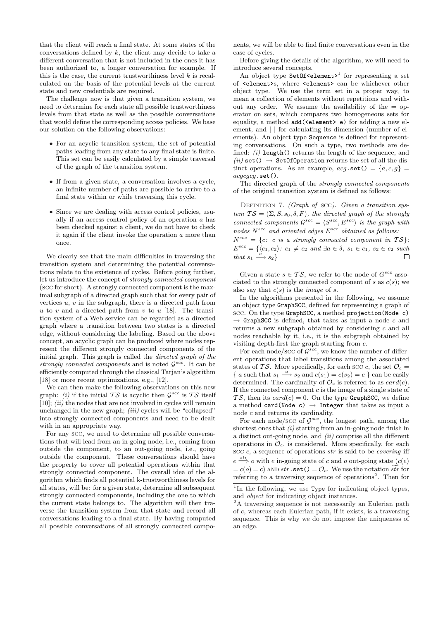that the client will reach a final state. At some states of the conversations defined by  $k$ , the client may decide to take a different conversation that is not included in the ones it has been authorized to, a longer conversation for example. If this is the case, the current trustworthiness level  $k$  is recalculated on the basis of the potential levels at the current state and new credentials are required.

The challenge now is that given a transition system, we need to determine for each state all possible trustworthiness levels from that state as well as the possible conversations that would define the corresponding access policies. We base our solution on the following observations:

- For an acyclic transition system, the set of potential paths leading from any state to any final state is finite. This set can be easily calculated by a simple traversal of the graph of the transition system.
- If from a given state, a conversation involves a cycle, an infinite number of paths are possible to arrive to a final state within or while traversing this cycle.
- Since we are dealing with access control policies, usually if an access control policy of an operation a has been checked against a client, we do not have to check it again if the client invoke the operation a more than once.

We clearly see that the main difficulties in traversing the transition system and determining the potential conversations relate to the existence of cycles. Before going further, let us introduce the concept of strongly connected component (scc for short). A strongly connected component is the maximal subgraph of a directed graph such that for every pair of vertices  $u, v$  in the subgraph, there is a directed path from u to v and a directed path from v to u [18]. The transition system of a Web service can be regarded as a directed graph where a transition between two states is a directed edge, without considering the labeling. Based on the above concept, an acyclic graph can be produced where nodes represent the different strongly connected components of the initial graph. This graph is called the directed graph of the strongly connected components and is noted  $\mathcal{G}^{scc}$ . It can be efficiently computed through the classical Tarjan's algorithm [18] or more recent optimizations, e.g., [12].

We can then make the following observations on this new graph: *(i)* if the initial  $TS$  is acyclic then  $\mathcal{G}^{scc}$  is  $TS$  itself  $[10]$ ;  $(ii)$  the nodes that are not involved in cycles will remain unchanged in the new graph; *(iii)* cycles will be "collapsed" into strongly connected components and need to be dealt with in an appropriate way.

For any scc, we need to determine all possible conversations that will lead from an in-going node, i.e., coming from outside the component, to an out-going node, i.e., going outside the component. These conversations should have the property to cover all potential operations within that strongly connected component. The overall idea of the algorithm which finds all potential k-trustworthiness levels for all states, will be: for a given state, determine all subsequent strongly connected components, including the one to which the current state belongs to. The algorithm will then traverse the transition system from that state and record all conversations leading to a final state. By having computed all possible conversations of all strongly connected compo-

nents, we will be able to find finite conversations even in the case of cycles.

Before giving the details of the algorithm, we will need to introduce several concepts.

An object type Set0f<element><sup>1</sup> for representing a set of <element>s, where <element> can be whichever other object type. We use the term set in a proper way, to mean a collection of elements without repetitions and without any order. We assume the availability of the  $=$  operator on sets, which compares two homogeneous sets for equality, a method add(<element> e) for adding a new element, and  $||$  for calculating its dimension (number of elements). An object type Sequence is defined for representing conversations. On such a type, two methods are defined:  $(i)$  length() returns the length of the sequence, and (ii) set()  $\rightarrow$  SetOfOperation returns the set of all the distinct operations. As an example,  $acg.\texttt{set}() = {a, c, g}$  $acacaca.\texttt{set}()$ .

The directed graph of the strongly connected components of the original transition system is defined as follows:

DEFINITION 7. (Graph of scc). Given a transition system  $TS = (\Sigma, S, s_0, \delta, F)$ , the directed graph of the strongly connected components  $\mathcal{G}^{scc} = \langle S^{scc}, E^{scc} \rangle$  is the graph with nodes  $N^{scc}$  and oriented edges  $E^{scc}$  obtained as follows:  $N^{scc} = \{c: c \text{ is a strongly connected component in } \mathcal{TS}\};$  $E^{scc} = \{ \langle c_1, c_2 \rangle : c_1 \neq c_2 \text{ and } \exists a \in \delta, s_1 \in c_1, s_2 \in c_2 \text{ such } \}$ that  $s_1 \stackrel{a}{\longrightarrow} s_2$  $\Box$ 

Given a state  $s \in \mathcal{TS}$ , we refer to the node of  $G^{scc}$  associated to the strongly connected component of s as  $c(s)$ ; we also say that  $c(s)$  is the *image* of s.

In the algorithms presented in the following, we assume an object type GraphSCC, defined for representing a graph of scc. On the type GraphSCC, a method projection(Node c)  $\rightarrow$  GraphSCC is defined, that takes as input a node c and returns a new subgraph obtained by considering c and all nodes reachable by it, i.e., it is the subgraph obtained by visiting depth-first the graph starting from c.

For each node/scc of  $\mathcal{G}^{scc}$ , we know the number of different operations that label transitions among the associated states of TS. More specifically, for each scc c, the set  $\mathcal{O}_c$  = { a such that  $s_1 \stackrel{a}{\longrightarrow} s_2$  and  $c(s_1) = c(s_2) = c$ } can be easily determined. The cardinality of  $\mathcal{O}_c$  is referred to as  $card(c)$ . If the connected component  $c$  is the image of a single state of TS, then its  $card(c) = 0$ . On the type GraphSCC, we define a method card(Node c)  $\rightarrow$  Integer that takes as input a node c and returns its cardinality.

For each node/scc of  $\mathcal{G}^{scc}$ , the longest path, among the shortest ones that  $(i)$  starting from an in-going node finish in a distinct out-going node, and  $(ii)$  comprise all the different operations in  $\mathcal{O}_c$ , is considered. More specifically, for each scc  $c$ , a sequence of operations  $str$  is said to be *covering* iff  $e \stackrel{str}{\Longrightarrow} o$  with e in-going state of c and o out-going state  $(c(e))$  $= c(o) = c$ ) AND str.set () =  $\mathcal{O}_c$ . We use the notation  $\widetilde{str}$  for referring to a traversing sequence of operations<sup>2</sup>. Then for

<sup>2</sup>A traversing sequence is not necessarily an Eulerian path of c, whereas each Eulerian path, if it exists, is a traversing sequence. This is why we do not impose the uniqueness of an edge.

<sup>&</sup>lt;sup>1</sup>In the following, we use Type for indicating object types, and object for indicating object instances.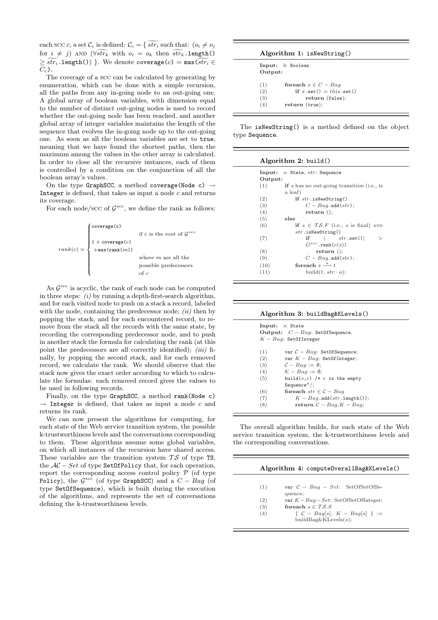each scc c, a set  $\mathcal{C}_c$  is defined:  $\mathcal{C}_c = \{ \widetilde{str_i} \text{ such that: } (o_i \neq o_j) \}$ for  $i \neq j$ ) AND ( $\forall s$ tr<sub>k</sub> with  $o_i = o_k$  then  $\widetilde{str_k}$ .length()  $\geq \widetilde{str_i}$ .length()) }. We denote coverage(c) = max( $\widetilde{str_i} \in$  $C_c$ ).

The coverage of a scc can be calculated by generating by enumeration, which can be done with a simple recursion, all the paths from any in-going node to an out-going one. A global array of boolean variables, with dimension equal to the number of distinct out-going nodes is used to record whether the out-going node has been reached, and another global array of integer variables maintains the length of the sequence that evolves the in-going node up to the out-going one. As soon as all the boolean variables are set to true, meaning that we have found the shortest paths, then the maximum among the values in the other array is calculated. In order to close all the recursive instances, each of them is controlled by a condition on the conjunction of all the boolean array's values.

On the type GraphSCC, a method coverage(Node c)  $\rightarrow$ Integer is defined, that takes as input a node  $c$  and returns its coverage.

For each node/scc of  $\mathcal{G}^{scc}$ , we define the rank as follows:



As  $\mathcal{G}^{scc}$  is acyclic, the rank of each node can be computed in three steps:  $(i)$  by running a depth-first-search algorithm, and for each visited node to push on a stack a record, labeled with the node, containing the predecessor node;  $(ii)$  then by popping the stack, and for each encountered record, to remove from the stack all the records with the same state, by recording the corresponding predecessor node, and to push in another stack the formula for calculating the rank (at this point the predecessors are all correctly identified);  $(iii)$  finally, by popping the second stack, and for each removed record, we calculate the rank. We should observe that the stack now gives the exact order according to which to calculate the formulas: each removed record gives the values to be used in following records.

Finally, on the type GraphSCC, a method rank(Node c)  $\rightarrow$  Integer is defined, that takes as input a node c and returns its rank.

We can now present the algorithms for computing, for each state of the Web service transition system, the possible k-trustworthiness levels and the conversations corresponding to them. These algorithms assume some global variables, on which all instances of the recursion have shared access. These variables are the transition system  $TS$  of type TS, the  $AC - Set$  of type SetOfPolicy that, for each operation, report the corresponding access control policy  $\mathcal P$  (of type Policy), the  $\mathcal{G}^{scc}$  (of type GraphSCC) and a  $C - Bag$  (of type SetOfSequence), which is built during the execution of the algorithms, and represents the set of conversations defining the k-trustworthiness levels.

| Algorithm 1: isNewString() |  |
|----------------------------|--|
|----------------------------|--|

| Input: b: Boolean                       |
|-----------------------------------------|
| Output:                                 |
|                                         |
| for each $x \in C - Baq$                |
| if $x.\text{set}() = this.\text{set()}$ |
| return (false);                         |
| return (true);                          |
|                                         |

The isNewString() is a method defined on the object type Sequence.

| Algorithm 2: build() |  |  |
|----------------------|--|--|
|----------------------|--|--|

| (1)  | <b>if</b> s has no out-going transition (i.e., is |
|------|---------------------------------------------------|
|      | a leaf)                                           |
| (2)  | if $str.isNewString()$                            |
| (3)  | $C-Baq$ add $(str)$ ;                             |
| (4)  | return ();                                        |
| (5)  | else                                              |
| (6)  | if $s \in \mathcal{TS}.F$ (i.e., s is final) AND  |
|      | str.isNewString()                                 |
| (7)  | if $ str.set() $                                  |
|      | $G^{scc}$ .rank $(c(s))$                          |
| (8)  | return ()                                         |
| (9)  | $C-Bag$ . add $(str)$ ;                           |
| (10) | for each $s \stackrel{a}{\longrightarrow} t$      |
| (11) | build $(t, str \cdot a);$                         |

Algorithm 3: buildBag&KLevels()

|     | Input: s: State                                         |
|-----|---------------------------------------------------------|
|     | Output: $C - Baq$ : SetOfSequence,                      |
|     | $K-Baq$ : SetOfInteger                                  |
|     |                                                         |
| (1) | var $C-Baq$ : SetOfSequence;                            |
| (2) | var $K-Baq$ : SetOfInteger;                             |
| (3) | $C-Baq := \emptyset$                                    |
| (4) | $K - Baq := \emptyset$ :                                |
| (5) | build( $s, \varepsilon$ ) /* $\varepsilon$ is the empty |
|     | $Sequence^*$ :                                          |
| (6) | for each $str \in \mathcal{C} - Bag$                    |
| (7) | $K-Baq$ .add $(str.length()$ ;                          |
| (8) | return $C-Bag, K-Bag$ ;                                 |

The overall algorithm builds, for each state of the Web service transition system, the k-trustworthiness levels and the corresponding conversations.

| Algorithm 4: computeOverallBag&KLevels() |
|------------------------------------------|
|                                          |
| var $C - Baq - Set$ : SetOfSetOfSe-      |
| var $K-Bag-Set$ : SetOfSetOfInteger;     |
| for each $s \in \mathcal{TS}.S$          |
| $\{ C - Bag[s], K - Bag[s] \} :=$        |
| buildBag&KLevels $(s)$ ;                 |
|                                          |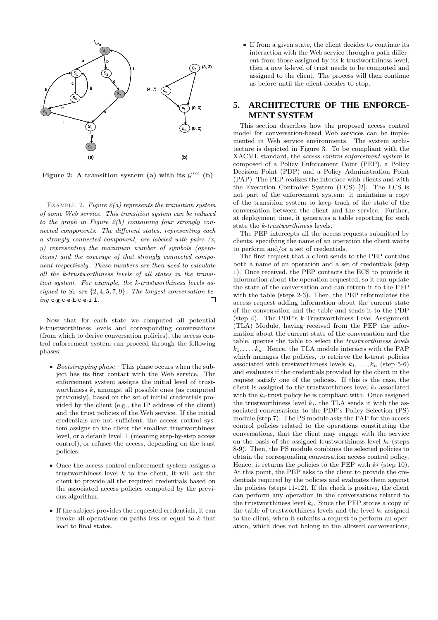

Figure 2: A transition system (a) with its  $\mathcal{G}^{scc}$  (b)

EXAMPLE 2. Figure  $2(a)$  represents the transition system of some Web service. This transition system can be reduced to the graph in Figure  $2(b)$  containing four strongly connected components. The different states, representing each a strongly connected component, are labeled with pairs  $(x,$ y) representing the maximum number of symbols (operations) and the coverage of that strongly connected component respectively. These numbers are then used to calculate all the k-trustworthiness levels of all states in the transition system. For example, the k-trustworthiness levels assigned to  $S_1$  are  $\{2,4,5,7,9\}$ . The longest conversation being c·g·c·e·h·c·e·i·l.  $\Box$ 

Now that for each state we computed all potential k-trustworthiness levels and corresponding conversations (from which to derive conversation policies), the access control enforcement system can proceed through the following phases:

- Bootstrapping phase This phase occurs when the subject has its first contact with the Web service. The enforcement system assigns the initial level of trustworthiness  $k$ , amongst all possible ones (as computed previously), based on the set of initial credentials provided by the client (e.g., the IP address of the client) and the trust policies of the Web service. If the initial credentials are not sufficient, the access control system assigns to the client the smallest trustworthiness level, or a default level  $\perp$  (meaning step-by-step access control), or refuses the access, depending on the trust policies.
- Once the access control enforcement system assigns a trustworthiness level  $k$  to the client, it will ask the client to provide all the required credentials based on the associated access policies computed by the previous algorithm.
- If the subject provides the requested credentials, it can invoke all operations on paths less or equal to  $k$  that lead to final states.

• If from a given state, the client decides to continue its interaction with the Web service through a path different from those assigned by its k-trustworthiness level, then a new k-level of trust needs to be computed and assigned to the client. The process will then continue as before until the client decides to stop.

## **5. ARCHITECTURE OF THE ENFORCE-MENT SYSTEM**

This section describes how the proposed access control model for conversation-based Web services can be implemented in Web service environments. The system architecture is depicted in Figure 3. To be compliant with the XACML standard, the access control enforcement system is composed of a Policy Enforcement Point (PEP), a Policy Decision Point (PDP) and a Policy Administration Point (PAP). The PEP realizes the interface with clients and with the Execution Controller System (ECS) [2]. The ECS is not part of the enforcement system: it maintains a copy of the transition system to keep track of the state of the conversation between the client and the service. Further, at deployment time, it generates a table reporting for each state the k-trustworthiness levels.

The PEP intercepts all the access requests submitted by clients, specifying the name of an operation the client wants to perform and/or a set of credentials.

The first request that a client sends to the PEP contains both a name of an operation and a set of credentials (step 1). Once received, the PEP contacts the ECS to provide it information about the operation requested, so it can update the state of the conversation and can return it to the PEP with the table (steps 2-3). Then, the PEP reformulates the access request adding information about the current state of the conversation and the table and sends it to the PDP (step 4). The PDP's k-Trustworthiness Level Assignment (TLA) Module, having received from the PEP the information about the current state of the conversation and the table, queries the table to select the trustworthiness levels  $k_1, \ldots, k_n$ . Hence, the TLA module interacts with the PAP which manages the policies, to retrieve the k-trust policies associated with trustworthiness levels  $k_1, \ldots, k_n$  (step 5-6) and evaluates if the credentials provided by the client in the request satisfy one of the policies. If this is the case, the client is assigned to the trustworthiness level  $k_i$  associated with the  $k_i$ -trust policy he is compliant with. Once assigned the trustworthiness level  $k_i$ , the TLA sends it with the associated conversations to the PDP's Policy Selection (PS) module (step 7). The PS module asks the PAP for the access control policies related to the operations constituting the conversations, that the client may engage with the service on the basis of the assigned trustworthiness level  $k_i$  (steps 8-9). Then, the PS module combines the selected policies to obtain the corresponding conversation access control policy. Hence, it returns the policies to the PEP with  $k_i$  (step 10). At this point, the PEP asks to the client to provide the credentials required by the policies and evaluates them against the policies (steps 11-12). If the check is positive, the client can perform any operation in the conversations related to the trustworthiness level  $k_i$ . Since the PEP stores a copy of the table of trustworthiness levels and the level  $k_i$  assigned to the client, when it submits a request to perform an operation, which does not belong to the allowed conversations,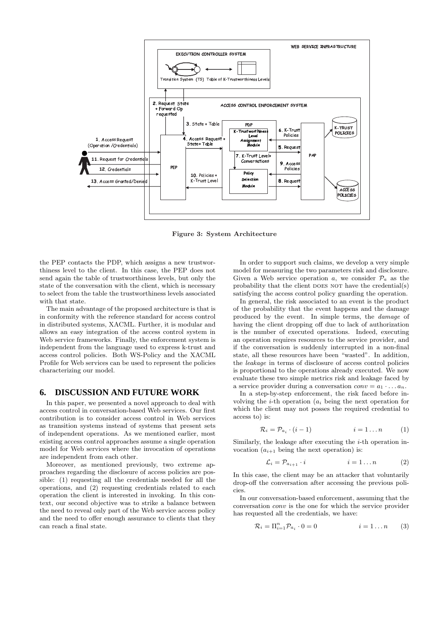

Figure 3: System Architecture

the PEP contacts the PDP, which assigns a new trustworthiness level to the client. In this case, the PEP does not send again the table of trustworthiness levels, but only the state of the conversation with the client, which is necessary to select from the table the trustworthiness levels associated with that state.

The main advantage of the proposed architecture is that is in conformity with the reference standard for access control in distributed systems, XACML. Further, it is modular and allows an easy integration of the access control system in Web service frameworks. Finally, the enforcement system is independent from the language used to express k-trust and access control policies. Both WS-Policy and the XACML Profile for Web services can be used to represent the policies characterizing our model.

#### **6. DISCUSSION AND FUTURE WORK**

In this paper, we presented a novel approach to deal with access control in conversation-based Web services. Our first contribution is to consider access control in Web services as transition systems instead of systems that present sets of independent operations. As we mentioned earlier, most existing access control approaches assume a single operation model for Web services where the invocation of operations are independent from each other.

Moreover, as mentioned previously, two extreme approaches regarding the disclosure of access policies are possible: (1) requesting all the credentials needed for all the operations, and (2) requesting credentials related to each operation the client is interested in invoking. In this context, our second objective was to strike a balance between the need to reveal only part of the Web service access policy and the need to offer enough assurance to clients that they can reach a final state.

In order to support such claims, we develop a very simple model for measuring the two parameters risk and disclosure. Given a Web service operation a, we consider  $\mathcal{P}_a$  as the probability that the client DOES NOT have the credential(s) satisfying the access control policy guarding the operation.

In general, the risk associated to an event is the product of the probability that the event happens and the damage produced by the event. In simple terms, the damage of having the client dropping off due to lack of authorization is the number of executed operations. Indeed, executing an operation requires resources to the service provider, and if the conversation is suddenly interrupted in a non-final state, all these resources have been "wasted". In addition, the leakage in terms of disclosure of access control policies is proportional to the operations already executed. We now evaluate these two simple metrics risk and leakage faced by a service provider during a conversation  $conv = a_1 \cdot \ldots a_n$ .

In a step-by-step enforcement, the risk faced before involving the *i*-th operation  $(a_i)$  being the next operation for which the client may not posses the required credential to access to) is:

$$
\mathcal{R}_i = \mathcal{P}_{a_i} \cdot (i-1) \qquad \qquad i = 1 \dots n \qquad (1)
$$

Similarly, the leakage after executing the  $i$ -th operation invocation  $(a_{i+1}$  being the next operation) is:

$$
\mathcal{L}_i = \mathcal{P}_{a_{i+1}} \cdot i \qquad i = 1 \dots n \qquad (2)
$$

In this case, the client may be an attacker that voluntarily drop-off the conversation after accessing the previous policies.

In our conversation-based enforcement, assuming that the conversation conv is the one for which the service provider has requested all the credentials, we have:

$$
\mathcal{R}_i = \Pi_{i=1}^n \mathcal{P}_{a_i} \cdot 0 = 0 \qquad i = 1 \dots n \qquad (3)
$$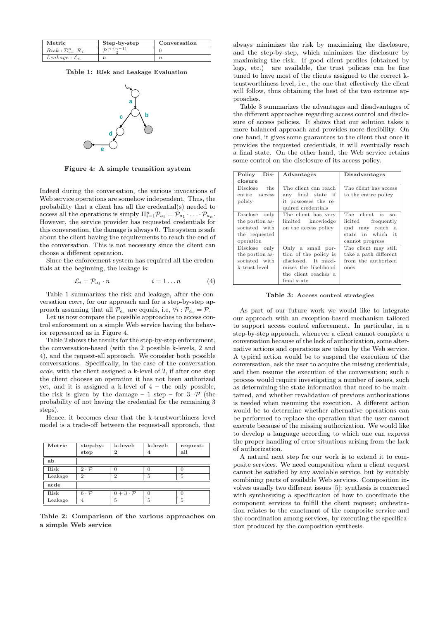| Metric                               | Step-by-step           | Conversation |
|--------------------------------------|------------------------|--------------|
| $Risk: \sum_{i=1}^{n} \mathcal{R}_i$ | $\tau^{n \cdot (n-1)}$ |              |
| $Leakage: \mathcal{L}_n$             |                        |              |

Table 1: Risk and Leakage Evaluation



Figure 4: A simple transition system

Indeed during the conversation, the various invocations of Web service operations are somehow independent. Thus, the probability that a client has all the credential(s) needed to access all the operations is simply  $\Pi_{i=1}^n \mathcal{P}_{a_i} = \mathcal{P}_{a_1} \cdot \ldots \cdot \mathcal{P}_{a_n}$ . However, the service provider has requested credentials for this conversation, the damage is always 0. The system is safe about the client having the requirements to reach the end of the conversation. This is not necessary since the client can choose a different operation.

Since the enforcement system has required all the credentials at the beginning, the leakage is:

$$
\mathcal{L}_i = \mathcal{P}_{a_i} \cdot n \qquad \qquad i = 1 \dots n \qquad (4)
$$

Table 1 summarizes the risk and leakage, after the conversation conv, for our approach and for a step-by-step approach assuming that all  $\mathcal{P}_{a_i}$  are equals, i.e,  $\forall i : \mathcal{P}_{a_i} = \mathcal{P}$ .

Let us now compare the possible approaches to access control enforcement on a simple Web service having the behavior represented as in Figure 4.

Table 2 shows the results for the step-by-step enforcement, the conversation-based (with the 2 possible k-levels, 2 and 4), and the request-all approach. We consider both possible conversations. Specifically, in the case of the conversation acde, with the client assigned a k-level of 2, if after one step the client chooses an operation it has not been authorized yet, and it is assigned a k-level of  $4$  – the only possible, the risk is given by the damage – 1 step – for  $3 \cdot \mathcal{P}$  (the probability of not having the credential for the remaining 3 steps).

Hence, it becomes clear that the k-trustworthiness level model is a trade-off between the request-all approach, that

| Metric  | step-by-<br>step      | k-level:<br>$\mathbf 2$ | k-level:<br>$\overline{4}$ | request-<br>all |
|---------|-----------------------|-------------------------|----------------------------|-----------------|
| ab      |                       |                         |                            |                 |
| Risk    | $2 \cdot \mathcal{P}$ |                         |                            |                 |
| Leakage | $\mathcal{D}$         | $\mathcal{D}$           | 5                          | 5               |
| acde    |                       |                         |                            |                 |
| Risk    | $6 \cdot \mathcal{P}$ | $0+3\cdot\mathcal{P}$   | $\Omega$                   |                 |
| Leakage |                       | 5                       | 5                          | 5               |

Table 2: Comparison of the various approaches on a simple Web service

always minimizes the risk by maximizing the disclosure, and the step-by-step, which minimizes the disclosure by maximizing the risk. If good client profiles (obtained by logs, etc.) are available, the trust policies can be fine tuned to have most of the clients assigned to the correct ktrustworthiness level, i.e., the one that effectively the client will follow, thus obtaining the best of the two extreme approaches.

Table 3 summarizes the advantages and disadvantages of the different approaches regarding access control and disclosure of access policies. It shows that our solution takes a more balanced approach and provides more flexibility. On one hand, it gives some guarantees to the client that once it provides the requested credentials, it will eventually reach a final state. On the other hand, the Web service retains some control on the disclosure of its access policy.

| Policy<br>$Dis-$ | Advantages            | Disadvantages          |
|------------------|-----------------------|------------------------|
| closure          |                       |                        |
| Disclose the     | The client can reach  | The client has access  |
| entire access    | any final state if    | to the entire policy   |
| policy           | it possesses the re-  |                        |
|                  | quired credentials    |                        |
| Disclose only    | The client has very   | The client is<br>$SO-$ |
| the portion as-  | limited knowledge     | licited<br>frequently  |
| sociated with    | on the access policy  | may reach a<br>and     |
| the requested    |                       | state in which it      |
| operation        |                       | cannot progress        |
| Disclose only    | Only a small por-     | The client may still   |
| the portion as-  | tion of the policy is | take a path different  |
| sociated with    | disclosed. It maxi-   | from the authorized    |
| k-trust level    | mizes the likelihood  | ones                   |
|                  | the client reaches a  |                        |
|                  | final state           |                        |

Table 3: Access control strategies

As part of our future work we would like to integrate our approach with an exception-based mechanism tailored to support access control enforcement. In particular, in a step-by-step approach, whenever a client cannot complete a conversation because of the lack of authorization, some alternative actions and operations are taken by the Web service. A typical action would be to suspend the execution of the conversation, ask the user to acquire the missing credentials, and then resume the execution of the conversation; such a process would require investigating a number of issues, such as determining the state information that need to be maintained, and whether revalidation of previous authorizations is needed when resuming the execution. A different action would be to determine whether alternative operations can be performed to replace the operation that the user cannot execute because of the missing authorization. We would like to develop a language according to which one can express the proper handling of error situations arising from the lack of authorization.

A natural next step for our work is to extend it to composite services. We need composition when a client request cannot be satisfied by any available service, but by suitably combining parts of available Web services. Composition involves usually two different issues [5]: synthesis is concerned with synthesizing a specification of how to coordinate the component services to fulfill the client request; orchestration relates to the enactment of the composite service and the coordination among services, by executing the specification produced by the composition synthesis.